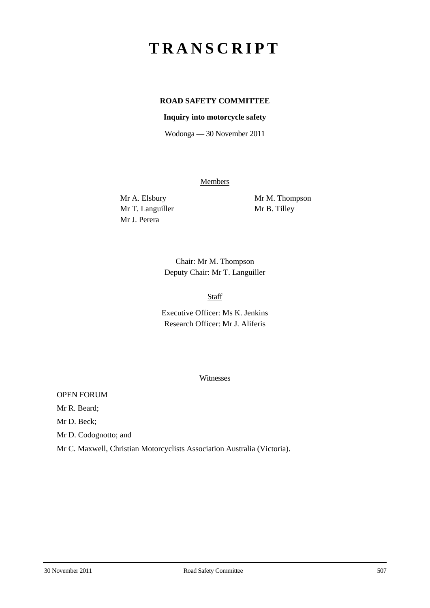# **TRANSCRIPT**

## **ROAD SAFETY COMMITTEE**

#### **Inquiry into motorcycle safety**

Wodonga — 30 November 2011

**Members** 

Mr T. Languiller Mr B. Tilley Mr J. Perera

Mr A. Elsbury Mr M. Thompson

Chair: Mr M. Thompson Deputy Chair: Mr T. Languiller

#### Staff

Executive Officer: Ms K. Jenkins Research Officer: Mr J. Aliferis

#### Witnesses

OPEN FORUM

Mr R. Beard;

Mr D. Beck;

Mr D. Codognotto; and

Mr C. Maxwell, Christian Motorcyclists Association Australia (Victoria).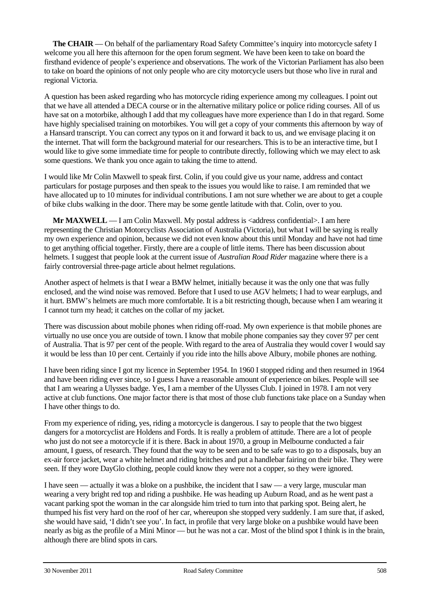**The CHAIR** — On behalf of the parliamentary Road Safety Committee's inquiry into motorcycle safety I welcome you all here this afternoon for the open forum segment. We have been keen to take on board the firsthand evidence of people's experience and observations. The work of the Victorian Parliament has also been to take on board the opinions of not only people who are city motorcycle users but those who live in rural and regional Victoria.

A question has been asked regarding who has motorcycle riding experience among my colleagues. I point out that we have all attended a DECA course or in the alternative military police or police riding courses. All of us have sat on a motorbike, although I add that my colleagues have more experience than I do in that regard. Some have highly specialised training on motorbikes. You will get a copy of your comments this afternoon by way of a Hansard transcript. You can correct any typos on it and forward it back to us, and we envisage placing it on the internet. That will form the background material for our researchers. This is to be an interactive time, but I would like to give some immediate time for people to contribute directly, following which we may elect to ask some questions. We thank you once again to taking the time to attend.

I would like Mr Colin Maxwell to speak first. Colin, if you could give us your name, address and contact particulars for postage purposes and then speak to the issues you would like to raise. I am reminded that we have allocated up to 10 minutes for individual contributions. I am not sure whether we are about to get a couple of bike clubs walking in the door. There may be some gentle latitude with that. Colin, over to you.

**Mr MAXWELL** — I am Colin Maxwell. My postal address is <address confidential>. I am here representing the Christian Motorcyclists Association of Australia (Victoria), but what I will be saying is really my own experience and opinion, because we did not even know about this until Monday and have not had time to get anything official together. Firstly, there are a couple of little items. There has been discussion about helmets. I suggest that people look at the current issue of *Australian Road Rider* magazine where there is a fairly controversial three-page article about helmet regulations.

Another aspect of helmets is that I wear a BMW helmet, initially because it was the only one that was fully enclosed, and the wind noise was removed. Before that I used to use AGV helmets; I had to wear earplugs, and it hurt. BMW's helmets are much more comfortable. It is a bit restricting though, because when I am wearing it I cannot turn my head; it catches on the collar of my jacket.

There was discussion about mobile phones when riding off-road. My own experience is that mobile phones are virtually no use once you are outside of town. I know that mobile phone companies say they cover 97 per cent of Australia. That is 97 per cent of the people. With regard to the area of Australia they would cover I would say it would be less than 10 per cent. Certainly if you ride into the hills above Albury, mobile phones are nothing.

I have been riding since I got my licence in September 1954. In 1960 I stopped riding and then resumed in 1964 and have been riding ever since, so I guess I have a reasonable amount of experience on bikes. People will see that I am wearing a Ulysses badge. Yes, I am a member of the Ulysses Club. I joined in 1978. I am not very active at club functions. One major factor there is that most of those club functions take place on a Sunday when I have other things to do.

From my experience of riding, yes, riding a motorcycle is dangerous. I say to people that the two biggest dangers for a motorcyclist are Holdens and Fords. It is really a problem of attitude. There are a lot of people who just do not see a motorcycle if it is there. Back in about 1970, a group in Melbourne conducted a fair amount, I guess, of research. They found that the way to be seen and to be safe was to go to a disposals, buy an ex-air force jacket, wear a white helmet and riding britches and put a handlebar fairing on their bike. They were seen. If they wore DayGlo clothing, people could know they were not a copper, so they were ignored.

I have seen — actually it was a bloke on a pushbike, the incident that I saw — a very large, muscular man wearing a very bright red top and riding a pushbike. He was heading up Auburn Road, and as he went past a vacant parking spot the woman in the car alongside him tried to turn into that parking spot. Being alert, he thumped his fist very hard on the roof of her car, whereupon she stopped very suddenly. I am sure that, if asked, she would have said, 'I didn't see you'. In fact, in profile that very large bloke on a pushbike would have been nearly as big as the profile of a Mini Minor — but he was not a car. Most of the blind spot I think is in the brain, although there are blind spots in cars.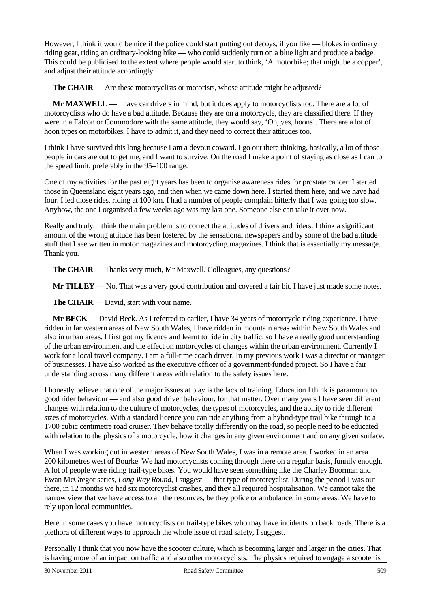However, I think it would be nice if the police could start putting out decoys, if you like — blokes in ordinary riding gear, riding an ordinary-looking bike — who could suddenly turn on a blue light and produce a badge. This could be publicised to the extent where people would start to think, 'A motorbike; that might be a copper', and adjust their attitude accordingly.

**The CHAIR** — Are these motorcyclists or motorists, whose attitude might be adjusted?

**Mr MAXWELL** — I have car drivers in mind, but it does apply to motorcyclists too. There are a lot of motorcyclists who do have a bad attitude. Because they are on a motorcycle, they are classified there. If they were in a Falcon or Commodore with the same attitude, they would say, 'Oh, yes, hoons'. There are a lot of hoon types on motorbikes, I have to admit it, and they need to correct their attitudes too.

I think I have survived this long because I am a devout coward. I go out there thinking, basically, a lot of those people in cars are out to get me, and I want to survive. On the road I make a point of staying as close as I can to the speed limit, preferably in the 95–100 range.

One of my activities for the past eight years has been to organise awareness rides for prostate cancer. I started those in Queensland eight years ago, and then when we came down here. I started them here, and we have had four. I led those rides, riding at 100 km. I had a number of people complain bitterly that I was going too slow. Anyhow, the one I organised a few weeks ago was my last one. Someone else can take it over now.

Really and truly, I think the main problem is to correct the attitudes of drivers and riders. I think a significant amount of the wrong attitude has been fostered by the sensational newspapers and by some of the bad attitude stuff that I see written in motor magazines and motorcycling magazines. I think that is essentially my message. Thank you.

**The CHAIR** — Thanks very much, Mr Maxwell. Colleagues, any questions?

**Mr TILLEY** — No. That was a very good contribution and covered a fair bit. I have just made some notes.

**The CHAIR** — David, start with your name.

**Mr BECK** — David Beck. As I referred to earlier, I have 34 years of motorcycle riding experience. I have ridden in far western areas of New South Wales, I have ridden in mountain areas within New South Wales and also in urban areas. I first got my licence and learnt to ride in city traffic, so I have a really good understanding of the urban environment and the effect on motorcycles of changes within the urban environment. Currently I work for a local travel company. I am a full-time coach driver. In my previous work I was a director or manager of businesses. I have also worked as the executive officer of a government-funded project. So I have a fair understanding across many different areas with relation to the safety issues here.

I honestly believe that one of the major issues at play is the lack of training. Education I think is paramount to good rider behaviour — and also good driver behaviour, for that matter. Over many years I have seen different changes with relation to the culture of motorcycles, the types of motorcycles, and the ability to ride different sizes of motorcycles. With a standard licence you can ride anything from a hybrid-type trail bike through to a 1700 cubic centimetre road cruiser. They behave totally differently on the road, so people need to be educated with relation to the physics of a motorcycle, how it changes in any given environment and on any given surface.

When I was working out in western areas of New South Wales, I was in a remote area. I worked in an area 200 kilometres west of Bourke. We had motorcyclists coming through there on a regular basis, funnily enough. A lot of people were riding trail-type bikes. You would have seen something like the Charley Boorman and Ewan McGregor series, *Long Way Round*, I suggest — that type of motorcyclist. During the period I was out there, in 12 months we had six motorcyclist crashes, and they all required hospitalisation. We cannot take the narrow view that we have access to all the resources, be they police or ambulance, in some areas. We have to rely upon local communities.

Here in some cases you have motorcyclists on trail-type bikes who may have incidents on back roads. There is a plethora of different ways to approach the whole issue of road safety, I suggest.

Personally I think that you now have the scooter culture, which is becoming larger and larger in the cities. That is having more of an impact on traffic and also other motorcyclists. The physics required to engage a scooter is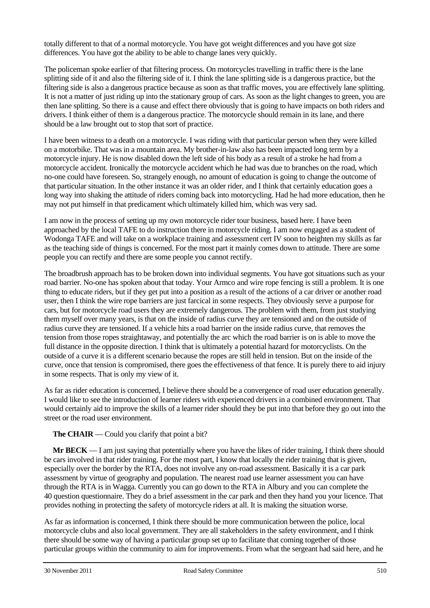totally different to that of a normal motorcycle. You have got weight differences and you have got size differences. You have got the ability to be able to change lanes very quickly.

The policeman spoke earlier of that filtering process. On motorcycles travelling in traffic there is the lane splitting side of it and also the filtering side of it. I think the lane splitting side is a dangerous practice, but the filtering side is also a dangerous practice because as soon as that traffic moves, you are effectively lane splitting. It is not a matter of just riding up into the stationary group of cars. As soon as the light changes to green, you are then lane splitting. So there is a cause and effect there obviously that is going to have impacts on both riders and drivers. I think either of them is a dangerous practice. The motorcycle should remain in its lane, and there should be a law brought out to stop that sort of practice.

I have been witness to a death on a motorcycle. I was riding with that particular person when they were killed on a motorbike. That was in a mountain area. My brother-in-law also has been impacted long term by a motorcycle injury. He is now disabled down the left side of his body as a result of a stroke he had from a motorcycle accident. Ironically the motorcycle accident which he had was due to branches on the road, which no-one could have foreseen. So, strangely enough, no amount of education is going to change the outcome of that particular situation. In the other instance it was an older rider, and I think that certainly education goes a long way into shaking the attitude of riders coming back into motorcycling. Had he had more education, then he may not put himself in that predicament which ultimately killed him, which was very sad.

I am now in the process of setting up my own motorcycle rider tour business, based here. I have been approached by the local TAFE to do instruction there in motorcycle riding. I am now engaged as a student of Wodonga TAFE and will take on a workplace training and assessment cert IV soon to heighten my skills as far as the teaching side of things is concerned. For the most part it mainly comes down to attitude. There are some people you can rectify and there are some people you cannot rectify.

The broadbrush approach has to be broken down into individual segments. You have got situations such as your road barrier. No-one has spoken about that today. Your Armco and wire rope fencing is still a problem. It is one thing to educate riders, but if they get put into a position as a result of the actions of a car driver or another road user, then I think the wire rope barriers are just farcical in some respects. They obviously serve a purpose for cars, but for motorcycle road users they are extremely dangerous. The problem with them, from just studying them myself over many years, is that on the inside of radius curve they are tensioned and on the outside of radius curve they are tensioned. If a vehicle hits a road barrier on the inside radius curve, that removes the tension from those ropes straightaway, and potentially the arc which the road barrier is on is able to move the full distance in the opposite direction. I think that is ultimately a potential hazard for motorcyclists. On the outside of a curve it is a different scenario because the ropes are still held in tension. But on the inside of the curve, once that tension is compromised, there goes the effectiveness of that fence. It is purely there to aid injury in some respects. That is only my view of it.

As far as rider education is concerned, I believe there should be a convergence of road user education generally. I would like to see the introduction of learner riders with experienced drivers in a combined environment. That would certainly aid to improve the skills of a learner rider should they be put into that before they go out into the street or the road user environment.

### **The CHAIR** — Could you clarify that point a bit?

**Mr BECK** — I am just saying that potentially where you have the likes of rider training, I think there should be cars involved in that rider training. For the most part, I know that locally the rider training that is given, especially over the border by the RTA, does not involve any on-road assessment. Basically it is a car park assessment by virtue of geography and population. The nearest road use learner assessment you can have through the RTA is in Wagga. Currently you can go down to the RTA in Albury and you can complete the 40 question questionnaire. They do a brief assessment in the car park and then they hand you your licence. That provides nothing in protecting the safety of motorcycle riders at all. It is making the situation worse.

As far as information is concerned, I think there should be more communication between the police, local motorcycle clubs and also local government. They are all stakeholders in the safety environment, and I think there should be some way of having a particular group set up to facilitate that coming together of those particular groups within the community to aim for improvements. From what the sergeant had said here, and he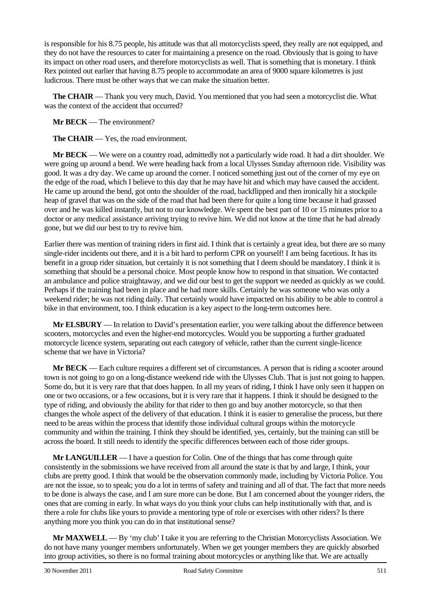is responsible for his 8.75 people, his attitude was that all motorcyclists speed, they really are not equipped, and they do not have the resources to cater for maintaining a presence on the road. Obviously that is going to have its impact on other road users, and therefore motorcyclists as well. That is something that is monetary. I think Rex pointed out earlier that having 8.75 people to accommodate an area of 9000 square kilometres is just ludicrous. There must be other ways that we can make the situation better.

**The CHAIR** — Thank you very much, David. You mentioned that you had seen a motorcyclist die. What was the context of the accident that occurred?

**Mr BECK** — The environment?

**The CHAIR** — Yes, the road environment.

**Mr BECK** — We were on a country road, admittedly not a particularly wide road. It had a dirt shoulder. We were going up around a bend. We were heading back from a local Ulysses Sunday afternoon ride. Visibility was good. It was a dry day. We came up around the corner. I noticed something just out of the corner of my eye on the edge of the road, which I believe to this day that he may have hit and which may have caused the accident. He came up around the bend, got onto the shoulder of the road, backflipped and then ironically hit a stockpile heap of gravel that was on the side of the road that had been there for quite a long time because it had grassed over and he was killed instantly, but not to our knowledge. We spent the best part of 10 or 15 minutes prior to a doctor or any medical assistance arriving trying to revive him. We did not know at the time that he had already gone, but we did our best to try to revive him.

Earlier there was mention of training riders in first aid. I think that is certainly a great idea, but there are so many single-rider incidents out there, and it is a bit hard to perform CPR on yourself! I am being facetious. It has its benefit in a group rider situation, but certainly it is not something that I deem should be mandatory. I think it is something that should be a personal choice. Most people know how to respond in that situation. We contacted an ambulance and police straightaway, and we did our best to get the support we needed as quickly as we could. Perhaps if the training had been in place and he had more skills. Certainly he was someone who was only a weekend rider; he was not riding daily. That certainly would have impacted on his ability to be able to control a bike in that environment, too. I think education is a key aspect to the long-term outcomes here.

**Mr ELSBURY** — In relation to David's presentation earlier, you were talking about the difference between scooters, motorcycles and even the higher-end motorcycles. Would you be supporting a further graduated motorcycle licence system, separating out each category of vehicle, rather than the current single-licence scheme that we have in Victoria?

**Mr BECK** — Each culture requires a different set of circumstances. A person that is riding a scooter around town is not going to go on a long-distance weekend ride with the Ulysses Club. That is just not going to happen. Some do, but it is very rare that that does happen. In all my years of riding, I think I have only seen it happen on one or two occasions, or a few occasions, but it is very rare that it happens. I think it should be designed to the type of riding, and obviously the ability for that rider to then go and buy another motorcycle, so that then changes the whole aspect of the delivery of that education. I think it is easier to generalise the process, but there need to be areas within the process that identify those individual cultural groups within the motorcycle community and within the training. I think they should be identified, yes, certainly, but the training can still be across the board. It still needs to identify the specific differences between each of those rider groups.

**Mr LANGUILLER** — I have a question for Colin. One of the things that has come through quite consistently in the submissions we have received from all around the state is that by and large, I think, your clubs are pretty good. I think that would be the observation commonly made, including by Victoria Police. You are not the issue, so to speak; you do a lot in terms of safety and training and all of that. The fact that more needs to be done is always the case, and I am sure more can be done. But I am concerned about the younger riders, the ones that are coming in early. In what ways do you think your clubs can help institutionally with that, and is there a role for clubs like yours to provide a mentoring type of role or exercises with other riders? Is there anything more you think you can do in that institutional sense?

**Mr MAXWELL** — By 'my club' I take it you are referring to the Christian Motorcyclists Association. We do not have many younger members unfortunately. When we get younger members they are quickly absorbed into group activities, so there is no formal training about motorcycles or anything like that. We are actually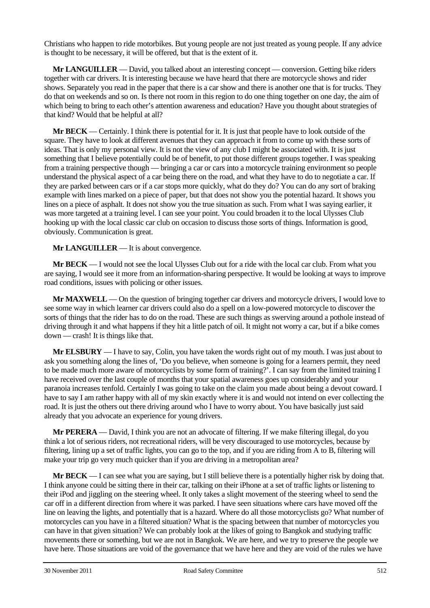Christians who happen to ride motorbikes. But young people are not just treated as young people. If any advice is thought to be necessary, it will be offered, but that is the extent of it.

**Mr LANGUILLER** — David, you talked about an interesting concept — conversion. Getting bike riders together with car drivers. It is interesting because we have heard that there are motorcycle shows and rider shows. Separately you read in the paper that there is a car show and there is another one that is for trucks. They do that on weekends and so on. Is there not room in this region to do one thing together on one day, the aim of which being to bring to each other's attention awareness and education? Have you thought about strategies of that kind? Would that be helpful at all?

**Mr BECK** — Certainly. I think there is potential for it. It is just that people have to look outside of the square. They have to look at different avenues that they can approach it from to come up with these sorts of ideas. That is only my personal view. It is not the view of any club I might be associated with. It is just something that I believe potentially could be of benefit, to put those different groups together. I was speaking from a training perspective though — bringing a car or cars into a motorcycle training environment so people understand the physical aspect of a car being there on the road, and what they have to do to negotiate a car. If they are parked between cars or if a car stops more quickly, what do they do? You can do any sort of braking example with lines marked on a piece of paper, but that does not show you the potential hazard. It shows you lines on a piece of asphalt. It does not show you the true situation as such. From what I was saying earlier, it was more targeted at a training level. I can see your point. You could broaden it to the local Ulysses Club hooking up with the local classic car club on occasion to discuss those sorts of things. Information is good, obviously. Communication is great.

**Mr LANGUILLER** — It is about convergence.

**Mr BECK** — I would not see the local Ulysses Club out for a ride with the local car club. From what you are saying, I would see it more from an information-sharing perspective. It would be looking at ways to improve road conditions, issues with policing or other issues.

**Mr MAXWELL** — On the question of bringing together car drivers and motorcycle drivers, I would love to see some way in which learner car drivers could also do a spell on a low-powered motorcycle to discover the sorts of things that the rider has to do on the road. These are such things as swerving around a pothole instead of driving through it and what happens if they hit a little patch of oil. It might not worry a car, but if a bike comes down — crash! It is things like that.

**Mr ELSBURY** — I have to say, Colin, you have taken the words right out of my mouth. I was just about to ask you something along the lines of, 'Do you believe, when someone is going for a learners permit, they need to be made much more aware of motorcyclists by some form of training?'. I can say from the limited training I have received over the last couple of months that your spatial awareness goes up considerably and your paranoia increases tenfold. Certainly I was going to take on the claim you made about being a devout coward. I have to say I am rather happy with all of my skin exactly where it is and would not intend on ever collecting the road. It is just the others out there driving around who I have to worry about. You have basically just said already that you advocate an experience for young drivers.

**Mr PERERA** — David, I think you are not an advocate of filtering. If we make filtering illegal, do you think a lot of serious riders, not recreational riders, will be very discouraged to use motorcycles, because by filtering, lining up a set of traffic lights, you can go to the top, and if you are riding from A to B, filtering will make your trip go very much quicker than if you are driving in a metropolitan area?

**Mr BECK** — I can see what you are saying, but I still believe there is a potentially higher risk by doing that. I think anyone could be sitting there in their car, talking on their iPhone at a set of traffic lights or listening to their iPod and jiggling on the steering wheel. It only takes a slight movement of the steering wheel to send the car off in a different direction from where it was parked. I have seen situations where cars have moved off the line on leaving the lights, and potentially that is a hazard. Where do all those motorcyclists go? What number of motorcycles can you have in a filtered situation? What is the spacing between that number of motorcycles you can have in that given situation? We can probably look at the likes of going to Bangkok and studying traffic movements there or something, but we are not in Bangkok. We are here, and we try to preserve the people we have here. Those situations are void of the governance that we have here and they are void of the rules we have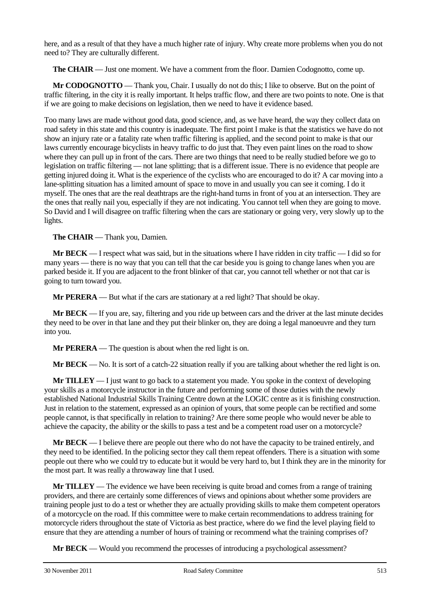here, and as a result of that they have a much higher rate of injury. Why create more problems when you do not need to? They are culturally different.

**The CHAIR** — Just one moment. We have a comment from the floor. Damien Codognotto, come up.

**Mr CODOGNOTTO** — Thank you, Chair. I usually do not do this; I like to observe. But on the point of traffic filtering, in the city it is really important. It helps traffic flow, and there are two points to note. One is that if we are going to make decisions on legislation, then we need to have it evidence based.

Too many laws are made without good data, good science, and, as we have heard, the way they collect data on road safety in this state and this country is inadequate. The first point I make is that the statistics we have do not show an injury rate or a fatality rate when traffic filtering is applied, and the second point to make is that our laws currently encourage bicyclists in heavy traffic to do just that. They even paint lines on the road to show where they can pull up in front of the cars. There are two things that need to be really studied before we go to legislation on traffic filtering — not lane splitting; that is a different issue. There is no evidence that people are getting injured doing it. What is the experience of the cyclists who are encouraged to do it? A car moving into a lane-splitting situation has a limited amount of space to move in and usually you can see it coming. I do it myself. The ones that are the real deathtraps are the right-hand turns in front of you at an intersection. They are the ones that really nail you, especially if they are not indicating. You cannot tell when they are going to move. So David and I will disagree on traffic filtering when the cars are stationary or going very, very slowly up to the lights.

**The CHAIR** — Thank you, Damien.

**Mr BECK** — I respect what was said, but in the situations where I have ridden in city traffic — I did so for many years — there is no way that you can tell that the car beside you is going to change lanes when you are parked beside it. If you are adjacent to the front blinker of that car, you cannot tell whether or not that car is going to turn toward you.

**Mr PERERA** — But what if the cars are stationary at a red light? That should be okay.

**Mr BECK** — If you are, say, filtering and you ride up between cars and the driver at the last minute decides they need to be over in that lane and they put their blinker on, they are doing a legal manoeuvre and they turn into you.

**Mr PERERA** — The question is about when the red light is on.

**Mr BECK** — No. It is sort of a catch-22 situation really if you are talking about whether the red light is on.

**Mr TILLEY** — I just want to go back to a statement you made. You spoke in the context of developing your skills as a motorcycle instructor in the future and performing some of those duties with the newly established National Industrial Skills Training Centre down at the LOGIC centre as it is finishing construction. Just in relation to the statement, expressed as an opinion of yours, that some people can be rectified and some people cannot, is that specifically in relation to training? Are there some people who would never be able to achieve the capacity, the ability or the skills to pass a test and be a competent road user on a motorcycle?

**Mr BECK** — I believe there are people out there who do not have the capacity to be trained entirely, and they need to be identified. In the policing sector they call them repeat offenders. There is a situation with some people out there who we could try to educate but it would be very hard to, but I think they are in the minority for the most part. It was really a throwaway line that I used.

**Mr TILLEY** — The evidence we have been receiving is quite broad and comes from a range of training providers, and there are certainly some differences of views and opinions about whether some providers are training people just to do a test or whether they are actually providing skills to make them competent operators of a motorcycle on the road. If this committee were to make certain recommendations to address training for motorcycle riders throughout the state of Victoria as best practice, where do we find the level playing field to ensure that they are attending a number of hours of training or recommend what the training comprises of?

**Mr BECK** — Would you recommend the processes of introducing a psychological assessment?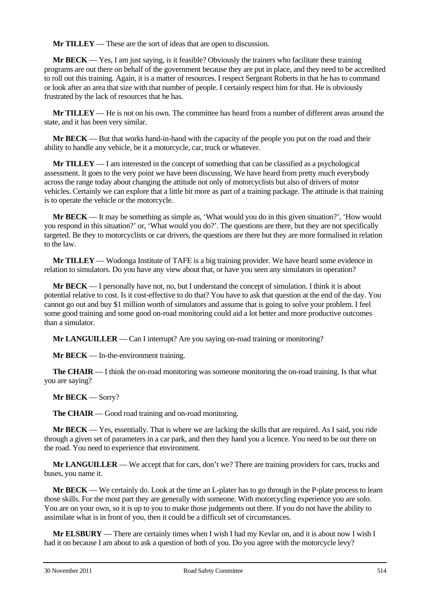**Mr TILLEY** — These are the sort of ideas that are open to discussion.

**Mr BECK** — Yes, I am just saying, is it feasible? Obviously the trainers who facilitate these training programs are out there on behalf of the government because they are put in place, and they need to be accredited to roll out this training. Again, it is a matter of resources. I respect Sergeant Roberts in that he has to command or look after an area that size with that number of people. I certainly respect him for that. He is obviously frustrated by the lack of resources that he has.

**Mr TILLEY** — He is not on his own. The committee has heard from a number of different areas around the state, and it has been very similar.

**Mr BECK** — But that works hand-in-hand with the capacity of the people you put on the road and their ability to handle any vehicle, be it a motorcycle, car, truck or whatever.

**Mr TILLEY** — I am interested in the concept of something that can be classified as a psychological assessment. It goes to the very point we have been discussing. We have heard from pretty much everybody across the range today about changing the attitude not only of motorcyclists but also of drivers of motor vehicles. Certainly we can explore that a little bit more as part of a training package. The attitude is that training is to operate the vehicle or the motorcycle.

**Mr BECK** — It may be something as simple as, 'What would you do in this given situation?', 'How would you respond in this situation?' or, 'What would you do?'. The questions are there, but they are not specifically targeted. Be they to motorcyclists or car drivers, the questions are there but they are more formalised in relation to the law.

**Mr TILLEY** — Wodonga Institute of TAFE is a big training provider. We have heard some evidence in relation to simulators. Do you have any view about that, or have you seen any simulators in operation?

**Mr BECK** — I personally have not, no, but I understand the concept of simulation. I think it is about potential relative to cost. Is it cost-effective to do that? You have to ask that question at the end of the day. You cannot go out and buy \$1 million worth of simulators and assume that is going to solve your problem. I feel some good training and some good on-road monitoring could aid a lot better and more productive outcomes than a simulator.

**Mr LANGUILLER** — Can I interrupt? Are you saying on-road training or monitoring?

**Mr BECK** — In-the-environment training.

**The CHAIR** — I think the on-road monitoring was someone monitoring the on-road training. Is that what you are saying?

### **Mr BECK** — Sorry?

**The CHAIR** — Good road training and on-road monitoring.

**Mr BECK** — Yes, essentially. That is where we are lacking the skills that are required. As I said, you ride through a given set of parameters in a car park, and then they hand you a licence. You need to be out there on the road. You need to experience that environment.

**Mr LANGUILLER** — We accept that for cars, don't we? There are training providers for cars, trucks and buses, you name it.

**Mr BECK** — We certainly do. Look at the time an L-plater has to go through in the P-plate process to learn those skills. For the most part they are generally with someone. With motorcycling experience you are solo. You are on your own, so it is up to you to make those judgements out there. If you do not have the ability to assimilate what is in front of you, then it could be a difficult set of circumstances.

**Mr ELSBURY** — There are certainly times when I wish I had my Kevlar on, and it is about now I wish I had it on because I am about to ask a question of both of you. Do you agree with the motorcycle levy?